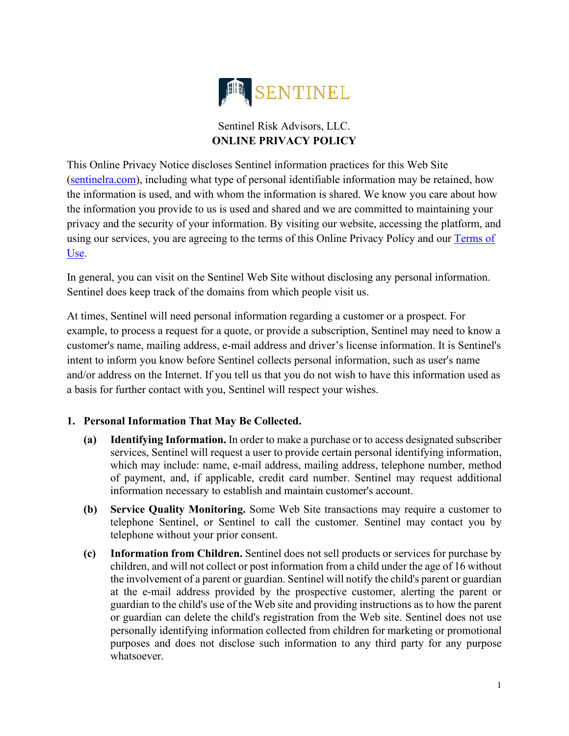

# Sentinel Risk Advisors, LLC. **ONLINE PRIVACY POLICY**

This Online Privacy Notice discloses Sentinel information practices for this Web Site [\(sentinelra.com\)](https://www.sentinelra.com/), including what type of personal identifiable information may be retained, how the information is used, and with whom the information is shared. We know you care about how the information you provide to us is used and shared and we are committed to maintaining your privacy and the security of your information. By visiting our website, accessing the platform, and using our services, you are agreeing to the terms of this Online Privacy Policy and our [Terms of](https://www.sentinelra.com/terms-of-use)  [Use.](https://www.sentinelra.com/terms-of-use)

In general, you can visit on the Sentinel Web Site without disclosing any personal information. Sentinel does keep track of the domains from which people visit us.

At times, Sentinel will need personal information regarding a customer or a prospect. For example, to process a request for a quote, or provide a subscription, Sentinel may need to know a customer's name, mailing address, e-mail address and driver's license information. It is Sentinel's intent to inform you know before Sentinel collects personal information, such as user's name and/or address on the Internet. If you tell us that you do not wish to have this information used as a basis for further contact with you, Sentinel will respect your wishes.

## **1. Personal Information That May Be Collected.**

- **(a) Identifying Information.** In order to make a purchase or [to access designated subscriber](https://advance.lexis.com/document/lpadocument/?pdmfid=1000522&crid=c6baed1c-e39e-4ab8-93a9-9a826a493de6&pddocfullpath=%2Fshared%2Fdocument%2Fforms%2Furn%3AcontentItem%3A58RK-WNY1-F5DR-21GC-00000-00&pddocid=urn%3AcontentItem%3A58RK-WNY1-F5DR-21GC-00000-00&pdcontentcomponentid=102985&pdteaserkey=sr0&pditab=allpods&ecomp=dtgg&earg=sr0&prid=99ea85e5-9f6d-4f3f-91a9-07aee6c95cd0)  [services, Sentinel](https://advance.lexis.com/document/lpadocument/?pdmfid=1000522&crid=c6baed1c-e39e-4ab8-93a9-9a826a493de6&pddocfullpath=%2Fshared%2Fdocument%2Fforms%2Furn%3AcontentItem%3A58RK-WNY1-F5DR-21GC-00000-00&pddocid=urn%3AcontentItem%3A58RK-WNY1-F5DR-21GC-00000-00&pdcontentcomponentid=102985&pdteaserkey=sr0&pditab=allpods&ecomp=dtgg&earg=sr0&prid=99ea85e5-9f6d-4f3f-91a9-07aee6c95cd0) will request a user to provide certain personal identifying information, which may include: name, e-mail address, mailing address, telephone number, method of payment, and, if applicable, credit card number. [Sentinel](https://advance.lexis.com/document/lpadocument/?pdmfid=1000522&crid=c6baed1c-e39e-4ab8-93a9-9a826a493de6&pddocfullpath=%2Fshared%2Fdocument%2Fforms%2Furn%3AcontentItem%3A58RK-WNY1-F5DR-21GC-00000-00&pddocid=urn%3AcontentItem%3A58RK-WNY1-F5DR-21GC-00000-00&pdcontentcomponentid=102985&pdteaserkey=sr0&pditab=allpods&ecomp=dtgg&earg=sr0&prid=99ea85e5-9f6d-4f3f-91a9-07aee6c95cd0) may request additional information necessary to establish and maintain customer's account.
- **(b) Service Quality Monitoring.** Some Web Site transactions may require a customer to telephone [Sentinel,](https://advance.lexis.com/document/lpadocument/?pdmfid=1000522&crid=c6baed1c-e39e-4ab8-93a9-9a826a493de6&pddocfullpath=%2Fshared%2Fdocument%2Fforms%2Furn%3AcontentItem%3A58RK-WNY1-F5DR-21GC-00000-00&pddocid=urn%3AcontentItem%3A58RK-WNY1-F5DR-21GC-00000-00&pdcontentcomponentid=102985&pdteaserkey=sr0&pditab=allpods&ecomp=dtgg&earg=sr0&prid=99ea85e5-9f6d-4f3f-91a9-07aee6c95cd0) or [Sentinel](https://advance.lexis.com/document/lpadocument/?pdmfid=1000522&crid=c6baed1c-e39e-4ab8-93a9-9a826a493de6&pddocfullpath=%2Fshared%2Fdocument%2Fforms%2Furn%3AcontentItem%3A58RK-WNY1-F5DR-21GC-00000-00&pddocid=urn%3AcontentItem%3A58RK-WNY1-F5DR-21GC-00000-00&pdcontentcomponentid=102985&pdteaserkey=sr0&pditab=allpods&ecomp=dtgg&earg=sr0&prid=99ea85e5-9f6d-4f3f-91a9-07aee6c95cd0) to call the customer. [Sentinel](https://advance.lexis.com/document/lpadocument/?pdmfid=1000522&crid=c6baed1c-e39e-4ab8-93a9-9a826a493de6&pddocfullpath=%2Fshared%2Fdocument%2Fforms%2Furn%3AcontentItem%3A58RK-WNY1-F5DR-21GC-00000-00&pddocid=urn%3AcontentItem%3A58RK-WNY1-F5DR-21GC-00000-00&pdcontentcomponentid=102985&pdteaserkey=sr0&pditab=allpods&ecomp=dtgg&earg=sr0&prid=99ea85e5-9f6d-4f3f-91a9-07aee6c95cd0) may contact you by telephone without your prior consent.
- **(c) Information from Children.** [Sentinel](https://advance.lexis.com/document/lpadocument/?pdmfid=1000522&crid=c6baed1c-e39e-4ab8-93a9-9a826a493de6&pddocfullpath=%2Fshared%2Fdocument%2Fforms%2Furn%3AcontentItem%3A58RK-WNY1-F5DR-21GC-00000-00&pddocid=urn%3AcontentItem%3A58RK-WNY1-F5DR-21GC-00000-00&pdcontentcomponentid=102985&pdteaserkey=sr0&pditab=allpods&ecomp=dtgg&earg=sr0&prid=99ea85e5-9f6d-4f3f-91a9-07aee6c95cd0) does not sell products or services for purchase by children, and will not collect or post information from a child under the age of [16](https://advance.lexis.com/document/lpadocument/?pdmfid=1000522&crid=c6baed1c-e39e-4ab8-93a9-9a826a493de6&pddocfullpath=%2Fshared%2Fdocument%2Fforms%2Furn%3AcontentItem%3A58RK-WNY1-F5DR-21GC-00000-00&pddocid=urn%3AcontentItem%3A58RK-WNY1-F5DR-21GC-00000-00&pdcontentcomponentid=102985&pdteaserkey=sr0&pditab=allpods&ecomp=dtgg&earg=sr0&prid=99ea85e5-9f6d-4f3f-91a9-07aee6c95cd0) without the involvement of a parent or guardian. [Sentinel](https://advance.lexis.com/document/lpadocument/?pdmfid=1000522&crid=c6baed1c-e39e-4ab8-93a9-9a826a493de6&pddocfullpath=%2Fshared%2Fdocument%2Fforms%2Furn%3AcontentItem%3A58RK-WNY1-F5DR-21GC-00000-00&pddocid=urn%3AcontentItem%3A58RK-WNY1-F5DR-21GC-00000-00&pdcontentcomponentid=102985&pdteaserkey=sr0&pditab=allpods&ecomp=dtgg&earg=sr0&prid=99ea85e5-9f6d-4f3f-91a9-07aee6c95cd0) will notify the child's parent or guardian at the e-mail address provided by the prospective customer, alerting the parent or guardian to the child's use of the Web site and providing instructions as to how the parent or guardian can delete the child's registration from the Web site. [Sentinel](https://advance.lexis.com/document/lpadocument/?pdmfid=1000522&crid=c6baed1c-e39e-4ab8-93a9-9a826a493de6&pddocfullpath=%2Fshared%2Fdocument%2Fforms%2Furn%3AcontentItem%3A58RK-WNY1-F5DR-21GC-00000-00&pddocid=urn%3AcontentItem%3A58RK-WNY1-F5DR-21GC-00000-00&pdcontentcomponentid=102985&pdteaserkey=sr0&pditab=allpods&ecomp=dtgg&earg=sr0&prid=99ea85e5-9f6d-4f3f-91a9-07aee6c95cd0) does not use personally identifying information collected from children for marketing or promotional purposes and does not disclose such information to any third party for any purpose whatsoever.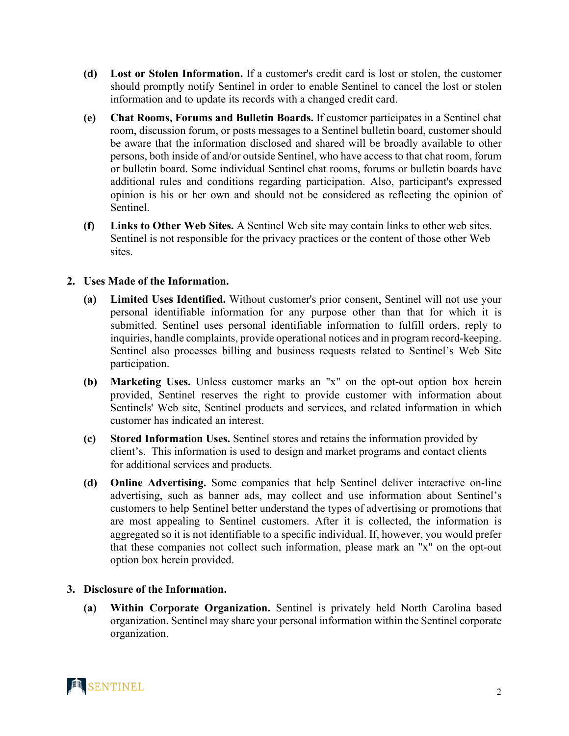- **(d) Lost or Stolen Information.** If a customer's [credit card i](https://advance.lexis.com/document/lpadocument/?pdmfid=1000522&crid=c6baed1c-e39e-4ab8-93a9-9a826a493de6&pddocfullpath=%2Fshared%2Fdocument%2Fforms%2Furn%3AcontentItem%3A58RK-WNY1-F5DR-21GC-00000-00&pddocid=urn%3AcontentItem%3A58RK-WNY1-F5DR-21GC-00000-00&pdcontentcomponentid=102985&pdteaserkey=sr0&pditab=allpods&ecomp=dtgg&earg=sr0&prid=99ea85e5-9f6d-4f3f-91a9-07aee6c95cd0)s lost or stolen, the customer should promptly notify [Sentinel](https://advance.lexis.com/document/lpadocument/?pdmfid=1000522&crid=c6baed1c-e39e-4ab8-93a9-9a826a493de6&pddocfullpath=%2Fshared%2Fdocument%2Fforms%2Furn%3AcontentItem%3A58RK-WNY1-F5DR-21GC-00000-00&pddocid=urn%3AcontentItem%3A58RK-WNY1-F5DR-21GC-00000-00&pdcontentcomponentid=102985&pdteaserkey=sr0&pditab=allpods&ecomp=dtgg&earg=sr0&prid=99ea85e5-9f6d-4f3f-91a9-07aee6c95cd0) in order to enable [Sentinel](https://advance.lexis.com/document/lpadocument/?pdmfid=1000522&crid=c6baed1c-e39e-4ab8-93a9-9a826a493de6&pddocfullpath=%2Fshared%2Fdocument%2Fforms%2Furn%3AcontentItem%3A58RK-WNY1-F5DR-21GC-00000-00&pddocid=urn%3AcontentItem%3A58RK-WNY1-F5DR-21GC-00000-00&pdcontentcomponentid=102985&pdteaserkey=sr0&pditab=allpods&ecomp=dtgg&earg=sr0&prid=99ea85e5-9f6d-4f3f-91a9-07aee6c95cd0) to cancel the lost or stolen information and to update its records with a changed [credit card.](https://advance.lexis.com/document/lpadocument/?pdmfid=1000522&crid=c6baed1c-e39e-4ab8-93a9-9a826a493de6&pddocfullpath=%2Fshared%2Fdocument%2Fforms%2Furn%3AcontentItem%3A58RK-WNY1-F5DR-21GC-00000-00&pddocid=urn%3AcontentItem%3A58RK-WNY1-F5DR-21GC-00000-00&pdcontentcomponentid=102985&pdteaserkey=sr0&pditab=allpods&ecomp=dtgg&earg=sr0&prid=99ea85e5-9f6d-4f3f-91a9-07aee6c95cd0)
- **(e) Chat Rooms, Forums and Bulletin Boards.** If customer participates in a Sentinel chat room, discussion forum, or posts messages to a [Sentinel](https://advance.lexis.com/document/lpadocument/?pdmfid=1000522&crid=c6baed1c-e39e-4ab8-93a9-9a826a493de6&pddocfullpath=%2Fshared%2Fdocument%2Fforms%2Furn%3AcontentItem%3A58RK-WNY1-F5DR-21GC-00000-00&pddocid=urn%3AcontentItem%3A58RK-WNY1-F5DR-21GC-00000-00&pdcontentcomponentid=102985&pdteaserkey=sr0&pditab=allpods&ecomp=dtgg&earg=sr0&prid=99ea85e5-9f6d-4f3f-91a9-07aee6c95cd0) bulletin board, customer should be aware that the information disclosed and shared will be broadly available to other persons, both inside of and/or outside [Sentinel,](https://advance.lexis.com/document/lpadocument/?pdmfid=1000522&crid=c6baed1c-e39e-4ab8-93a9-9a826a493de6&pddocfullpath=%2Fshared%2Fdocument%2Fforms%2Furn%3AcontentItem%3A58RK-WNY1-F5DR-21GC-00000-00&pddocid=urn%3AcontentItem%3A58RK-WNY1-F5DR-21GC-00000-00&pdcontentcomponentid=102985&pdteaserkey=sr0&pditab=allpods&ecomp=dtgg&earg=sr0&prid=99ea85e5-9f6d-4f3f-91a9-07aee6c95cd0) who have access to that chat room, forum or bulletin board. Some individual [Sentinel](https://advance.lexis.com/document/lpadocument/?pdmfid=1000522&crid=c6baed1c-e39e-4ab8-93a9-9a826a493de6&pddocfullpath=%2Fshared%2Fdocument%2Fforms%2Furn%3AcontentItem%3A58RK-WNY1-F5DR-21GC-00000-00&pddocid=urn%3AcontentItem%3A58RK-WNY1-F5DR-21GC-00000-00&pdcontentcomponentid=102985&pdteaserkey=sr0&pditab=allpods&ecomp=dtgg&earg=sr0&prid=99ea85e5-9f6d-4f3f-91a9-07aee6c95cd0) chat rooms, forums or bulletin boards have additional rules and conditions regarding participation. Also, participant's expressed opinion is his or her own and should not be considered as reflecting the opinion of [Sentinel.](https://advance.lexis.com/document/lpadocument/?pdmfid=1000522&crid=c6baed1c-e39e-4ab8-93a9-9a826a493de6&pddocfullpath=%2Fshared%2Fdocument%2Fforms%2Furn%3AcontentItem%3A58RK-WNY1-F5DR-21GC-00000-00&pddocid=urn%3AcontentItem%3A58RK-WNY1-F5DR-21GC-00000-00&pdcontentcomponentid=102985&pdteaserkey=sr0&pditab=allpods&ecomp=dtgg&earg=sr0&prid=99ea85e5-9f6d-4f3f-91a9-07aee6c95cd0)
- **(f) Links to Other Web Sites.** A [Sentinel](https://advance.lexis.com/document/lpadocument/?pdmfid=1000522&crid=c6baed1c-e39e-4ab8-93a9-9a826a493de6&pddocfullpath=%2Fshared%2Fdocument%2Fforms%2Furn%3AcontentItem%3A58RK-WNY1-F5DR-21GC-00000-00&pddocid=urn%3AcontentItem%3A58RK-WNY1-F5DR-21GC-00000-00&pdcontentcomponentid=102985&pdteaserkey=sr0&pditab=allpods&ecomp=dtgg&earg=sr0&prid=99ea85e5-9f6d-4f3f-91a9-07aee6c95cd0) Web site may contain links to other web sites. [Sentinel](https://advance.lexis.com/document/lpadocument/?pdmfid=1000522&crid=c6baed1c-e39e-4ab8-93a9-9a826a493de6&pddocfullpath=%2Fshared%2Fdocument%2Fforms%2Furn%3AcontentItem%3A58RK-WNY1-F5DR-21GC-00000-00&pddocid=urn%3AcontentItem%3A58RK-WNY1-F5DR-21GC-00000-00&pdcontentcomponentid=102985&pdteaserkey=sr0&pditab=allpods&ecomp=dtgg&earg=sr0&prid=99ea85e5-9f6d-4f3f-91a9-07aee6c95cd0) is not responsible for the privacy practices or the content of those other Web sites.

### **2. Uses Made of the Information.**

- **(a) Limited Uses Identified.** Without customer's prior consent, [Sentinel](https://advance.lexis.com/document/lpadocument/?pdmfid=1000522&crid=c6baed1c-e39e-4ab8-93a9-9a826a493de6&pddocfullpath=%2Fshared%2Fdocument%2Fforms%2Furn%3AcontentItem%3A58RK-WNY1-F5DR-21GC-00000-00&pddocid=urn%3AcontentItem%3A58RK-WNY1-F5DR-21GC-00000-00&pdcontentcomponentid=102985&pdteaserkey=sr0&pditab=allpods&ecomp=dtgg&earg=sr0&prid=99ea85e5-9f6d-4f3f-91a9-07aee6c95cd0) will not use your personal identifiable information for any purpose other than that for which it is submitted. [Sentinel](https://advance.lexis.com/document/lpadocument/?pdmfid=1000522&crid=c6baed1c-e39e-4ab8-93a9-9a826a493de6&pddocfullpath=%2Fshared%2Fdocument%2Fforms%2Furn%3AcontentItem%3A58RK-WNY1-F5DR-21GC-00000-00&pddocid=urn%3AcontentItem%3A58RK-WNY1-F5DR-21GC-00000-00&pdcontentcomponentid=102985&pdteaserkey=sr0&pditab=allpods&ecomp=dtgg&earg=sr0&prid=99ea85e5-9f6d-4f3f-91a9-07aee6c95cd0) uses personal identifiable information to fulfill orders, reply to inquiries, handle complaints, provide operational notices and in program record-keeping. [Sentinel](https://advance.lexis.com/document/lpadocument/?pdmfid=1000522&crid=c6baed1c-e39e-4ab8-93a9-9a826a493de6&pddocfullpath=%2Fshared%2Fdocument%2Fforms%2Furn%3AcontentItem%3A58RK-WNY1-F5DR-21GC-00000-00&pddocid=urn%3AcontentItem%3A58RK-WNY1-F5DR-21GC-00000-00&pdcontentcomponentid=102985&pdteaserkey=sr0&pditab=allpods&ecomp=dtgg&earg=sr0&prid=99ea85e5-9f6d-4f3f-91a9-07aee6c95cd0) also processes billing and business requests related to [Sentinel's](https://advance.lexis.com/document/lpadocument/?pdmfid=1000522&crid=c6baed1c-e39e-4ab8-93a9-9a826a493de6&pddocfullpath=%2Fshared%2Fdocument%2Fforms%2Furn%3AcontentItem%3A58RK-WNY1-F5DR-21GC-00000-00&pddocid=urn%3AcontentItem%3A58RK-WNY1-F5DR-21GC-00000-00&pdcontentcomponentid=102985&pdteaserkey=sr0&pditab=allpods&ecomp=dtgg&earg=sr0&prid=99ea85e5-9f6d-4f3f-91a9-07aee6c95cd0) Web Site participation.
- **(b) Marketing Uses.** Unless customer marks an "x" on the opt-out option box herein provided, [Sentinel](https://advance.lexis.com/document/lpadocument/?pdmfid=1000522&crid=c6baed1c-e39e-4ab8-93a9-9a826a493de6&pddocfullpath=%2Fshared%2Fdocument%2Fforms%2Furn%3AcontentItem%3A58RK-WNY1-F5DR-21GC-00000-00&pddocid=urn%3AcontentItem%3A58RK-WNY1-F5DR-21GC-00000-00&pdcontentcomponentid=102985&pdteaserkey=sr0&pditab=allpods&ecomp=dtgg&earg=sr0&prid=99ea85e5-9f6d-4f3f-91a9-07aee6c95cd0) reserves the right to provide customer with information about [Sentinels](https://advance.lexis.com/document/lpadocument/?pdmfid=1000522&crid=c6baed1c-e39e-4ab8-93a9-9a826a493de6&pddocfullpath=%2Fshared%2Fdocument%2Fforms%2Furn%3AcontentItem%3A58RK-WNY1-F5DR-21GC-00000-00&pddocid=urn%3AcontentItem%3A58RK-WNY1-F5DR-21GC-00000-00&pdcontentcomponentid=102985&pdteaserkey=sr0&pditab=allpods&ecomp=dtgg&earg=sr0&prid=99ea85e5-9f6d-4f3f-91a9-07aee6c95cd0)' Web site, [Sentinel](https://advance.lexis.com/document/lpadocument/?pdmfid=1000522&crid=c6baed1c-e39e-4ab8-93a9-9a826a493de6&pddocfullpath=%2Fshared%2Fdocument%2Fforms%2Furn%3AcontentItem%3A58RK-WNY1-F5DR-21GC-00000-00&pddocid=urn%3AcontentItem%3A58RK-WNY1-F5DR-21GC-00000-00&pdcontentcomponentid=102985&pdteaserkey=sr0&pditab=allpods&ecomp=dtgg&earg=sr0&prid=99ea85e5-9f6d-4f3f-91a9-07aee6c95cd0) products and services, and related information in which customer has indicated an interest.
- **(c) Stored Information Uses.** [Sentinel](https://advance.lexis.com/document/lpadocument/?pdmfid=1000522&crid=c6baed1c-e39e-4ab8-93a9-9a826a493de6&pddocfullpath=%2Fshared%2Fdocument%2Fforms%2Furn%3AcontentItem%3A58RK-WNY1-F5DR-21GC-00000-00&pddocid=urn%3AcontentItem%3A58RK-WNY1-F5DR-21GC-00000-00&pdcontentcomponentid=102985&pdteaserkey=sr0&pditab=allpods&ecomp=dtgg&earg=sr0&prid=99ea85e5-9f6d-4f3f-91a9-07aee6c95cd0) stores [and retains](https://advance.lexis.com/document/lpadocument/?pdmfid=1000522&crid=c6baed1c-e39e-4ab8-93a9-9a826a493de6&pddocfullpath=%2Fshared%2Fdocument%2Fforms%2Furn%3AcontentItem%3A58RK-WNY1-F5DR-21GC-00000-00&pddocid=urn%3AcontentItem%3A58RK-WNY1-F5DR-21GC-00000-00&pdcontentcomponentid=102985&pdteaserkey=sr0&pditab=allpods&ecomp=dtgg&earg=sr0&prid=99ea85e5-9f6d-4f3f-91a9-07aee6c95cd0) [the information provided by](https://advance.lexis.com/document/lpadocument/?pdmfid=1000522&crid=c6baed1c-e39e-4ab8-93a9-9a826a493de6&pddocfullpath=%2Fshared%2Fdocument%2Fforms%2Furn%3AcontentItem%3A58RK-WNY1-F5DR-21GC-00000-00&pddocid=urn%3AcontentItem%3A58RK-WNY1-F5DR-21GC-00000-00&pdcontentcomponentid=102985&pdteaserkey=sr0&pditab=allpods&ecomp=dtgg&earg=sr0&prid=99ea85e5-9f6d-4f3f-91a9-07aee6c95cd0) client's. This information is used to design and market programs and contact clients for additional services and products.
- **(d) Online Advertising.** Some companies that help [Sentinel](https://advance.lexis.com/document/lpadocument/?pdmfid=1000522&crid=c6baed1c-e39e-4ab8-93a9-9a826a493de6&pddocfullpath=%2Fshared%2Fdocument%2Fforms%2Furn%3AcontentItem%3A58RK-WNY1-F5DR-21GC-00000-00&pddocid=urn%3AcontentItem%3A58RK-WNY1-F5DR-21GC-00000-00&pdcontentcomponentid=102985&pdteaserkey=sr0&pditab=allpods&ecomp=dtgg&earg=sr0&prid=99ea85e5-9f6d-4f3f-91a9-07aee6c95cd0) deliver interactive on-line advertising, such as banner ads, may collect and use information about Sentinel's customers to help [Sentinel](https://advance.lexis.com/document/lpadocument/?pdmfid=1000522&crid=c6baed1c-e39e-4ab8-93a9-9a826a493de6&pddocfullpath=%2Fshared%2Fdocument%2Fforms%2Furn%3AcontentItem%3A58RK-WNY1-F5DR-21GC-00000-00&pddocid=urn%3AcontentItem%3A58RK-WNY1-F5DR-21GC-00000-00&pdcontentcomponentid=102985&pdteaserkey=sr0&pditab=allpods&ecomp=dtgg&earg=sr0&prid=99ea85e5-9f6d-4f3f-91a9-07aee6c95cd0) better understand the types of advertising or promotions that are most appealing to Sentinel customers. After it is collected, the information is aggregated so it is not identifiable to a specific individual. If, however, you would prefer that these companies not collect such information, please mark an "x" on the opt-out option box herein provided.

#### **3. Disclosure of the Information.**

**(a) Within Corporate Organization.** [Sentinel](https://advance.lexis.com/document/lpadocument/?pdmfid=1000522&crid=c6baed1c-e39e-4ab8-93a9-9a826a493de6&pddocfullpath=%2Fshared%2Fdocument%2Fforms%2Furn%3AcontentItem%3A58RK-WNY1-F5DR-21GC-00000-00&pddocid=urn%3AcontentItem%3A58RK-WNY1-F5DR-21GC-00000-00&pdcontentcomponentid=102985&pdteaserkey=sr0&pditab=allpods&ecomp=dtgg&earg=sr0&prid=99ea85e5-9f6d-4f3f-91a9-07aee6c95cd0) is privately held North Carolina based organization. [Sentinel](https://advance.lexis.com/document/lpadocument/?pdmfid=1000522&crid=c6baed1c-e39e-4ab8-93a9-9a826a493de6&pddocfullpath=%2Fshared%2Fdocument%2Fforms%2Furn%3AcontentItem%3A58RK-WNY1-F5DR-21GC-00000-00&pddocid=urn%3AcontentItem%3A58RK-WNY1-F5DR-21GC-00000-00&pdcontentcomponentid=102985&pdteaserkey=sr0&pditab=allpods&ecomp=dtgg&earg=sr0&prid=99ea85e5-9f6d-4f3f-91a9-07aee6c95cd0) may share your personal information within the [Sentinel](https://advance.lexis.com/document/lpadocument/?pdmfid=1000522&crid=c6baed1c-e39e-4ab8-93a9-9a826a493de6&pddocfullpath=%2Fshared%2Fdocument%2Fforms%2Furn%3AcontentItem%3A58RK-WNY1-F5DR-21GC-00000-00&pddocid=urn%3AcontentItem%3A58RK-WNY1-F5DR-21GC-00000-00&pdcontentcomponentid=102985&pdteaserkey=sr0&pditab=allpods&ecomp=dtgg&earg=sr0&prid=99ea85e5-9f6d-4f3f-91a9-07aee6c95cd0) corporate organization.

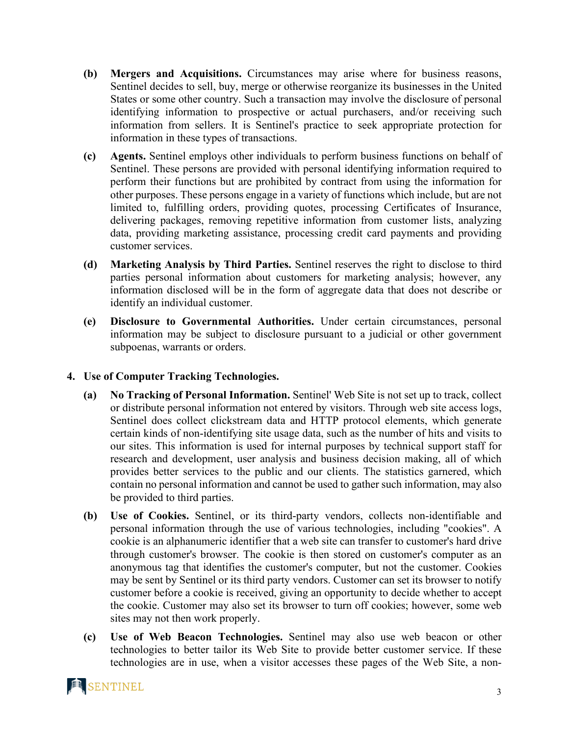- **(b) Mergers and Acquisitions.** Circumstances may arise where for business reasons, [Sentinel](https://advance.lexis.com/document/lpadocument/?pdmfid=1000522&crid=c6baed1c-e39e-4ab8-93a9-9a826a493de6&pddocfullpath=%2Fshared%2Fdocument%2Fforms%2Furn%3AcontentItem%3A58RK-WNY1-F5DR-21GC-00000-00&pddocid=urn%3AcontentItem%3A58RK-WNY1-F5DR-21GC-00000-00&pdcontentcomponentid=102985&pdteaserkey=sr0&pditab=allpods&ecomp=dtgg&earg=sr0&prid=99ea85e5-9f6d-4f3f-91a9-07aee6c95cd0) decides to sell, buy, merge or otherwise reorganize its businesses in the United States or some other country. Such a transaction may involve the disclosure of personal identifying information to prospective or actual purchasers, and/or receiving such information from sellers. It is [Sentinel's](https://advance.lexis.com/document/lpadocument/?pdmfid=1000522&crid=c6baed1c-e39e-4ab8-93a9-9a826a493de6&pddocfullpath=%2Fshared%2Fdocument%2Fforms%2Furn%3AcontentItem%3A58RK-WNY1-F5DR-21GC-00000-00&pddocid=urn%3AcontentItem%3A58RK-WNY1-F5DR-21GC-00000-00&pdcontentcomponentid=102985&pdteaserkey=sr0&pditab=allpods&ecomp=dtgg&earg=sr0&prid=99ea85e5-9f6d-4f3f-91a9-07aee6c95cd0) practice to seek appropriate protection for information in these types of transactions.
- **(c) Agents.** [Sentinel](https://advance.lexis.com/document/lpadocument/?pdmfid=1000522&crid=c6baed1c-e39e-4ab8-93a9-9a826a493de6&pddocfullpath=%2Fshared%2Fdocument%2Fforms%2Furn%3AcontentItem%3A58RK-WNY1-F5DR-21GC-00000-00&pddocid=urn%3AcontentItem%3A58RK-WNY1-F5DR-21GC-00000-00&pdcontentcomponentid=102985&pdteaserkey=sr0&pditab=allpods&ecomp=dtgg&earg=sr0&prid=99ea85e5-9f6d-4f3f-91a9-07aee6c95cd0) employs other individuals to perform business functions on behalf of [Sentinel.](https://advance.lexis.com/document/lpadocument/?pdmfid=1000522&crid=c6baed1c-e39e-4ab8-93a9-9a826a493de6&pddocfullpath=%2Fshared%2Fdocument%2Fforms%2Furn%3AcontentItem%3A58RK-WNY1-F5DR-21GC-00000-00&pddocid=urn%3AcontentItem%3A58RK-WNY1-F5DR-21GC-00000-00&pdcontentcomponentid=102985&pdteaserkey=sr0&pditab=allpods&ecomp=dtgg&earg=sr0&prid=99ea85e5-9f6d-4f3f-91a9-07aee6c95cd0) These persons are provided with personal identifying information required to perform their functions but are prohibited by contract from using the information for other purposes. These persons engage in a variety of functions which include, but are not limited to, fulfilling orders, providing quotes, processing Certificates of Insurance, delivering packages, removing repetitive information from customer lists, analyzing data, providing marketing assistance, processing credit card payments and providing customer services.
- **(d) Marketing Analysis by Third Parties.** [Sentinel](https://advance.lexis.com/document/lpadocument/?pdmfid=1000522&crid=c6baed1c-e39e-4ab8-93a9-9a826a493de6&pddocfullpath=%2Fshared%2Fdocument%2Fforms%2Furn%3AcontentItem%3A58RK-WNY1-F5DR-21GC-00000-00&pddocid=urn%3AcontentItem%3A58RK-WNY1-F5DR-21GC-00000-00&pdcontentcomponentid=102985&pdteaserkey=sr0&pditab=allpods&ecomp=dtgg&earg=sr0&prid=99ea85e5-9f6d-4f3f-91a9-07aee6c95cd0) reserves the right to disclose to third parties personal information about customers for marketing analysis; however, any information disclosed will be in the form of aggregate data that does not describe or identify an individual customer.
- **(e) Disclosure to Governmental Authorities.** Under certain circumstances, personal information may be subject to disclosure pursuant to a judicial or other government subpoenas, warrants or orders.

#### **4. Use of Computer Tracking Technologies.**

- **(a) No Tracking of Personal Information.** [Sentinel'](https://advance.lexis.com/document/lpadocument/?pdmfid=1000522&crid=c6baed1c-e39e-4ab8-93a9-9a826a493de6&pddocfullpath=%2Fshared%2Fdocument%2Fforms%2Furn%3AcontentItem%3A58RK-WNY1-F5DR-21GC-00000-00&pddocid=urn%3AcontentItem%3A58RK-WNY1-F5DR-21GC-00000-00&pdcontentcomponentid=102985&pdteaserkey=sr0&pditab=allpods&ecomp=dtgg&earg=sr0&prid=99ea85e5-9f6d-4f3f-91a9-07aee6c95cd0) Web Site is not set up to track, collect or distribute personal information not entered by visitors. Through web site access logs, [Sentinel](https://advance.lexis.com/document/lpadocument/?pdmfid=1000522&crid=c6baed1c-e39e-4ab8-93a9-9a826a493de6&pddocfullpath=%2Fshared%2Fdocument%2Fforms%2Furn%3AcontentItem%3A58RK-WNY1-F5DR-21GC-00000-00&pddocid=urn%3AcontentItem%3A58RK-WNY1-F5DR-21GC-00000-00&pdcontentcomponentid=102985&pdteaserkey=sr0&pditab=allpods&ecomp=dtgg&earg=sr0&prid=99ea85e5-9f6d-4f3f-91a9-07aee6c95cd0) does collect clickstream data and HTTP protocol elements, which generate certain kinds of non-identifying site usage data, such as the number of hits and visits to our sites. This information is used for internal purposes by technical support staff for research and development, user analysis and business decision making, all of which provides better services to the public and our clients. The statistics garnered, which contain no personal information and cannot be used to gather such information, may also be provided to third parties.
- **(b) Use of Cookies.** [Sentinel,](https://advance.lexis.com/document/lpadocument/?pdmfid=1000522&crid=c6baed1c-e39e-4ab8-93a9-9a826a493de6&pddocfullpath=%2Fshared%2Fdocument%2Fforms%2Furn%3AcontentItem%3A58RK-WNY1-F5DR-21GC-00000-00&pddocid=urn%3AcontentItem%3A58RK-WNY1-F5DR-21GC-00000-00&pdcontentcomponentid=102985&pdteaserkey=sr0&pditab=allpods&ecomp=dtgg&earg=sr0&prid=99ea85e5-9f6d-4f3f-91a9-07aee6c95cd0) or its third-party vendors, collects non-identifiable and personal information through the use of various technologies, including "cookies". A cookie is an alphanumeric identifier that a web site can transfer to customer's hard drive through customer's browser. The cookie is then stored on customer's computer as an anonymous tag that identifies the customer's computer, but not the customer. Cookies may be sent by [Sentinel](https://advance.lexis.com/document/lpadocument/?pdmfid=1000522&crid=c6baed1c-e39e-4ab8-93a9-9a826a493de6&pddocfullpath=%2Fshared%2Fdocument%2Fforms%2Furn%3AcontentItem%3A58RK-WNY1-F5DR-21GC-00000-00&pddocid=urn%3AcontentItem%3A58RK-WNY1-F5DR-21GC-00000-00&pdcontentcomponentid=102985&pdteaserkey=sr0&pditab=allpods&ecomp=dtgg&earg=sr0&prid=99ea85e5-9f6d-4f3f-91a9-07aee6c95cd0) or its third party vendors. Customer can set its browser to notify customer before a cookie is received, giving an opportunity to decide whether to accept the cookie. Customer may also set its browser to turn off cookies; however, some web sites may not then work properly.
- **(c) Use of Web Beacon Technologies.** [Sentinel](https://advance.lexis.com/document/lpadocument/?pdmfid=1000522&crid=c6baed1c-e39e-4ab8-93a9-9a826a493de6&pddocfullpath=%2Fshared%2Fdocument%2Fforms%2Furn%3AcontentItem%3A58RK-WNY1-F5DR-21GC-00000-00&pddocid=urn%3AcontentItem%3A58RK-WNY1-F5DR-21GC-00000-00&pdcontentcomponentid=102985&pdteaserkey=sr0&pditab=allpods&ecomp=dtgg&earg=sr0&prid=99ea85e5-9f6d-4f3f-91a9-07aee6c95cd0) may also use web beacon or other technologies to better tailor its Web Site to provide better customer service. If these technologies are in use, when a visitor accesses these pages of the Web Site, a non-

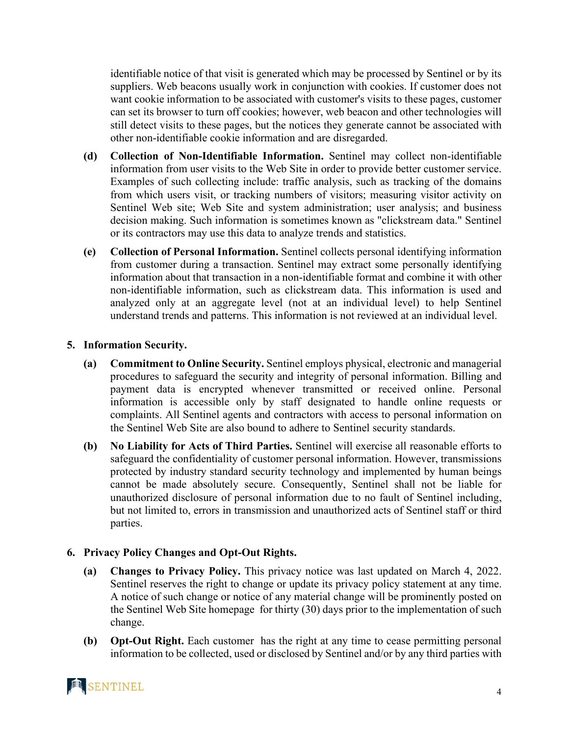identifiable notice of that visit is generated which may be processed by [Sentinel](https://advance.lexis.com/document/lpadocument/?pdmfid=1000522&crid=c6baed1c-e39e-4ab8-93a9-9a826a493de6&pddocfullpath=%2Fshared%2Fdocument%2Fforms%2Furn%3AcontentItem%3A58RK-WNY1-F5DR-21GC-00000-00&pddocid=urn%3AcontentItem%3A58RK-WNY1-F5DR-21GC-00000-00&pdcontentcomponentid=102985&pdteaserkey=sr0&pditab=allpods&ecomp=dtgg&earg=sr0&prid=99ea85e5-9f6d-4f3f-91a9-07aee6c95cd0) or by its suppliers. Web beacons usually work in conjunction with cookies. If customer does not want cookie information to be associated with customer's visits to these pages, customer can set its browser to turn off cookies; however, web beacon and other technologies will still detect visits to these pages, but the notices they generate cannot be associated with other non-identifiable cookie information and are disregarded.

- **(d) Collection of Non-Identifiable Information.** [Sentinel](https://advance.lexis.com/document/lpadocument/?pdmfid=1000522&crid=c6baed1c-e39e-4ab8-93a9-9a826a493de6&pddocfullpath=%2Fshared%2Fdocument%2Fforms%2Furn%3AcontentItem%3A58RK-WNY1-F5DR-21GC-00000-00&pddocid=urn%3AcontentItem%3A58RK-WNY1-F5DR-21GC-00000-00&pdcontentcomponentid=102985&pdteaserkey=sr0&pditab=allpods&ecomp=dtgg&earg=sr0&prid=99ea85e5-9f6d-4f3f-91a9-07aee6c95cd0) may collect non-identifiable information from user visits to the Web Site in order to provide better customer service. Examples of such collecting include: traffic analysis, such as tracking of the domains from which users visit, or tracking numbers of visitors; measuring visitor activity on [Sentinel](https://advance.lexis.com/document/lpadocument/?pdmfid=1000522&crid=c6baed1c-e39e-4ab8-93a9-9a826a493de6&pddocfullpath=%2Fshared%2Fdocument%2Fforms%2Furn%3AcontentItem%3A58RK-WNY1-F5DR-21GC-00000-00&pddocid=urn%3AcontentItem%3A58RK-WNY1-F5DR-21GC-00000-00&pdcontentcomponentid=102985&pdteaserkey=sr0&pditab=allpods&ecomp=dtgg&earg=sr0&prid=99ea85e5-9f6d-4f3f-91a9-07aee6c95cd0) Web site; Web Site and system administration; user analysis; and business decision making. Such information is sometimes known as "clickstream data." [Sentinel](https://advance.lexis.com/document/lpadocument/?pdmfid=1000522&crid=c6baed1c-e39e-4ab8-93a9-9a826a493de6&pddocfullpath=%2Fshared%2Fdocument%2Fforms%2Furn%3AcontentItem%3A58RK-WNY1-F5DR-21GC-00000-00&pddocid=urn%3AcontentItem%3A58RK-WNY1-F5DR-21GC-00000-00&pdcontentcomponentid=102985&pdteaserkey=sr0&pditab=allpods&ecomp=dtgg&earg=sr0&prid=99ea85e5-9f6d-4f3f-91a9-07aee6c95cd0) or its contractors may use this data to analyze trends and statistics.
- **(e) Collection of Personal Information.** [Sentinel](https://advance.lexis.com/document/lpadocument/?pdmfid=1000522&crid=c6baed1c-e39e-4ab8-93a9-9a826a493de6&pddocfullpath=%2Fshared%2Fdocument%2Fforms%2Furn%3AcontentItem%3A58RK-WNY1-F5DR-21GC-00000-00&pddocid=urn%3AcontentItem%3A58RK-WNY1-F5DR-21GC-00000-00&pdcontentcomponentid=102985&pdteaserkey=sr0&pditab=allpods&ecomp=dtgg&earg=sr0&prid=99ea85e5-9f6d-4f3f-91a9-07aee6c95cd0) collects personal identifying information from customer during a transaction. [Sentinel](https://advance.lexis.com/document/lpadocument/?pdmfid=1000522&crid=c6baed1c-e39e-4ab8-93a9-9a826a493de6&pddocfullpath=%2Fshared%2Fdocument%2Fforms%2Furn%3AcontentItem%3A58RK-WNY1-F5DR-21GC-00000-00&pddocid=urn%3AcontentItem%3A58RK-WNY1-F5DR-21GC-00000-00&pdcontentcomponentid=102985&pdteaserkey=sr0&pditab=allpods&ecomp=dtgg&earg=sr0&prid=99ea85e5-9f6d-4f3f-91a9-07aee6c95cd0) may extract some personally identifying information about that transaction in a non-identifiable format and combine it with other non-identifiable information, such as clickstream data. This information is used and analyzed only at an aggregate level (not at an individual level) to help [Sentinel](https://advance.lexis.com/document/lpadocument/?pdmfid=1000522&crid=c6baed1c-e39e-4ab8-93a9-9a826a493de6&pddocfullpath=%2Fshared%2Fdocument%2Fforms%2Furn%3AcontentItem%3A58RK-WNY1-F5DR-21GC-00000-00&pddocid=urn%3AcontentItem%3A58RK-WNY1-F5DR-21GC-00000-00&pdcontentcomponentid=102985&pdteaserkey=sr0&pditab=allpods&ecomp=dtgg&earg=sr0&prid=99ea85e5-9f6d-4f3f-91a9-07aee6c95cd0) understand trends and patterns. This information is not reviewed at an individual level.

#### **5. Information Security.**

- **(a) Commitment to Online Security.** [Sentinel](https://advance.lexis.com/document/lpadocument/?pdmfid=1000522&crid=c6baed1c-e39e-4ab8-93a9-9a826a493de6&pddocfullpath=%2Fshared%2Fdocument%2Fforms%2Furn%3AcontentItem%3A58RK-WNY1-F5DR-21GC-00000-00&pddocid=urn%3AcontentItem%3A58RK-WNY1-F5DR-21GC-00000-00&pdcontentcomponentid=102985&pdteaserkey=sr0&pditab=allpods&ecomp=dtgg&earg=sr0&prid=99ea85e5-9f6d-4f3f-91a9-07aee6c95cd0) employs physical, electronic and managerial procedures to safeguard the security and integrity of personal information. Billing and payment data is encrypted whenever transmitted or received online. Personal information is accessible only by staff designated to handle online requests or complaints. All [Sentinel](https://advance.lexis.com/document/lpadocument/?pdmfid=1000522&crid=c6baed1c-e39e-4ab8-93a9-9a826a493de6&pddocfullpath=%2Fshared%2Fdocument%2Fforms%2Furn%3AcontentItem%3A58RK-WNY1-F5DR-21GC-00000-00&pddocid=urn%3AcontentItem%3A58RK-WNY1-F5DR-21GC-00000-00&pdcontentcomponentid=102985&pdteaserkey=sr0&pditab=allpods&ecomp=dtgg&earg=sr0&prid=99ea85e5-9f6d-4f3f-91a9-07aee6c95cd0) agents and contractors with access to personal information on the [Sentinel](https://advance.lexis.com/document/lpadocument/?pdmfid=1000522&crid=c6baed1c-e39e-4ab8-93a9-9a826a493de6&pddocfullpath=%2Fshared%2Fdocument%2Fforms%2Furn%3AcontentItem%3A58RK-WNY1-F5DR-21GC-00000-00&pddocid=urn%3AcontentItem%3A58RK-WNY1-F5DR-21GC-00000-00&pdcontentcomponentid=102985&pdteaserkey=sr0&pditab=allpods&ecomp=dtgg&earg=sr0&prid=99ea85e5-9f6d-4f3f-91a9-07aee6c95cd0) Web Site are also bound to adhere to Sentinel security standards.
- **(b) No Liability for Acts of Third Parties.** [Sentinel](https://advance.lexis.com/document/lpadocument/?pdmfid=1000522&crid=c6baed1c-e39e-4ab8-93a9-9a826a493de6&pddocfullpath=%2Fshared%2Fdocument%2Fforms%2Furn%3AcontentItem%3A58RK-WNY1-F5DR-21GC-00000-00&pddocid=urn%3AcontentItem%3A58RK-WNY1-F5DR-21GC-00000-00&pdcontentcomponentid=102985&pdteaserkey=sr0&pditab=allpods&ecomp=dtgg&earg=sr0&prid=99ea85e5-9f6d-4f3f-91a9-07aee6c95cd0) will exercise all reasonable efforts to safeguard the confidentiality of customer personal information. However, transmissions protected by industry standard security technology and implemented by human beings cannot be made absolutely secure. Consequently, [Sentinel](https://advance.lexis.com/document/lpadocument/?pdmfid=1000522&crid=c6baed1c-e39e-4ab8-93a9-9a826a493de6&pddocfullpath=%2Fshared%2Fdocument%2Fforms%2Furn%3AcontentItem%3A58RK-WNY1-F5DR-21GC-00000-00&pddocid=urn%3AcontentItem%3A58RK-WNY1-F5DR-21GC-00000-00&pdcontentcomponentid=102985&pdteaserkey=sr0&pditab=allpods&ecomp=dtgg&earg=sr0&prid=99ea85e5-9f6d-4f3f-91a9-07aee6c95cd0) shall not be liable for unauthorized disclosure of personal information due to no fault of [Sentinel](https://advance.lexis.com/document/lpadocument/?pdmfid=1000522&crid=c6baed1c-e39e-4ab8-93a9-9a826a493de6&pddocfullpath=%2Fshared%2Fdocument%2Fforms%2Furn%3AcontentItem%3A58RK-WNY1-F5DR-21GC-00000-00&pddocid=urn%3AcontentItem%3A58RK-WNY1-F5DR-21GC-00000-00&pdcontentcomponentid=102985&pdteaserkey=sr0&pditab=allpods&ecomp=dtgg&earg=sr0&prid=99ea85e5-9f6d-4f3f-91a9-07aee6c95cd0) including, but not limited to, errors in transmission and unauthorized acts of Sentinel [staff or third](https://advance.lexis.com/document/lpadocument/?pdmfid=1000522&crid=c6baed1c-e39e-4ab8-93a9-9a826a493de6&pddocfullpath=%2Fshared%2Fdocument%2Fforms%2Furn%3AcontentItem%3A58RK-WNY1-F5DR-21GC-00000-00&pddocid=urn%3AcontentItem%3A58RK-WNY1-F5DR-21GC-00000-00&pdcontentcomponentid=102985&pdteaserkey=sr0&pditab=allpods&ecomp=dtgg&earg=sr0&prid=99ea85e5-9f6d-4f3f-91a9-07aee6c95cd0)  [parties.](https://advance.lexis.com/document/lpadocument/?pdmfid=1000522&crid=c6baed1c-e39e-4ab8-93a9-9a826a493de6&pddocfullpath=%2Fshared%2Fdocument%2Fforms%2Furn%3AcontentItem%3A58RK-WNY1-F5DR-21GC-00000-00&pddocid=urn%3AcontentItem%3A58RK-WNY1-F5DR-21GC-00000-00&pdcontentcomponentid=102985&pdteaserkey=sr0&pditab=allpods&ecomp=dtgg&earg=sr0&prid=99ea85e5-9f6d-4f3f-91a9-07aee6c95cd0)

## **6. Privacy Policy Changes and Opt-Out Rights.**

- **(a) Changes to Privacy Policy.** This privacy notice was last updated on March 4, 2022. [Sentinel](https://advance.lexis.com/document/lpadocument/?pdmfid=1000522&crid=c6baed1c-e39e-4ab8-93a9-9a826a493de6&pddocfullpath=%2Fshared%2Fdocument%2Fforms%2Furn%3AcontentItem%3A58RK-WNY1-F5DR-21GC-00000-00&pddocid=urn%3AcontentItem%3A58RK-WNY1-F5DR-21GC-00000-00&pdcontentcomponentid=102985&pdteaserkey=sr0&pditab=allpods&ecomp=dtgg&earg=sr0&prid=99ea85e5-9f6d-4f3f-91a9-07aee6c95cd0) reserves the right to [change or](https://advance.lexis.com/document/lpadocument/?pdmfid=1000522&crid=c6baed1c-e39e-4ab8-93a9-9a826a493de6&pddocfullpath=%2Fshared%2Fdocument%2Fforms%2Furn%3AcontentItem%3A58RK-WNY1-F5DR-21GC-00000-00&pddocid=urn%3AcontentItem%3A58RK-WNY1-F5DR-21GC-00000-00&pdcontentcomponentid=102985&pdteaserkey=sr0&pditab=allpods&ecomp=dtgg&earg=sr0&prid=99ea85e5-9f6d-4f3f-91a9-07aee6c95cd0) update its privacy policy statement at any time. A notice of such change or [notice of any material change](https://advance.lexis.com/document/lpadocument/?pdmfid=1000522&crid=c6baed1c-e39e-4ab8-93a9-9a826a493de6&pddocfullpath=%2Fshared%2Fdocument%2Fforms%2Furn%3AcontentItem%3A58RK-WNY1-F5DR-21GC-00000-00&pddocid=urn%3AcontentItem%3A58RK-WNY1-F5DR-21GC-00000-00&pdcontentcomponentid=102985&pdteaserkey=sr0&pditab=allpods&ecomp=dtgg&earg=sr0&prid=99ea85e5-9f6d-4f3f-91a9-07aee6c95cd0) will be prominently posted on the [Sentinel](https://advance.lexis.com/document/lpadocument/?pdmfid=1000522&crid=c6baed1c-e39e-4ab8-93a9-9a826a493de6&pddocfullpath=%2Fshared%2Fdocument%2Fforms%2Furn%3AcontentItem%3A58RK-WNY1-F5DR-21GC-00000-00&pddocid=urn%3AcontentItem%3A58RK-WNY1-F5DR-21GC-00000-00&pdcontentcomponentid=102985&pdteaserkey=sr0&pditab=allpods&ecomp=dtgg&earg=sr0&prid=99ea85e5-9f6d-4f3f-91a9-07aee6c95cd0) Web Site homepage for [thirty \(30\) days](https://advance.lexis.com/document/lpadocument/?pdmfid=1000522&crid=c6baed1c-e39e-4ab8-93a9-9a826a493de6&pddocfullpath=%2Fshared%2Fdocument%2Fforms%2Furn%3AcontentItem%3A58RK-WNY1-F5DR-21GC-00000-00&pddocid=urn%3AcontentItem%3A58RK-WNY1-F5DR-21GC-00000-00&pdcontentcomponentid=102985&pdteaserkey=sr0&pditab=allpods&ecomp=dtgg&earg=sr0&prid=99ea85e5-9f6d-4f3f-91a9-07aee6c95cd0) prior to the implementation of such change.
- **(b) Opt-Out Right.** [Each customer](https://advance.lexis.com/document/lpadocument/?pdmfid=1000522&crid=c6baed1c-e39e-4ab8-93a9-9a826a493de6&pddocfullpath=%2Fshared%2Fdocument%2Fforms%2Furn%3AcontentItem%3A58RK-WNY1-F5DR-21GC-00000-00&pddocid=urn%3AcontentItem%3A58RK-WNY1-F5DR-21GC-00000-00&pdcontentcomponentid=102985&pdteaserkey=sr0&pditab=allpods&ecomp=dtgg&earg=sr0&prid=99ea85e5-9f6d-4f3f-91a9-07aee6c95cd0) has the right at any time to cease permitting personal information to be collected, used or disclosed by [Sentinel](https://advance.lexis.com/document/lpadocument/?pdmfid=1000522&crid=c6baed1c-e39e-4ab8-93a9-9a826a493de6&pddocfullpath=%2Fshared%2Fdocument%2Fforms%2Furn%3AcontentItem%3A58RK-WNY1-F5DR-21GC-00000-00&pddocid=urn%3AcontentItem%3A58RK-WNY1-F5DR-21GC-00000-00&pdcontentcomponentid=102985&pdteaserkey=sr0&pditab=allpods&ecomp=dtgg&earg=sr0&prid=99ea85e5-9f6d-4f3f-91a9-07aee6c95cd0) and/or by any third parties with